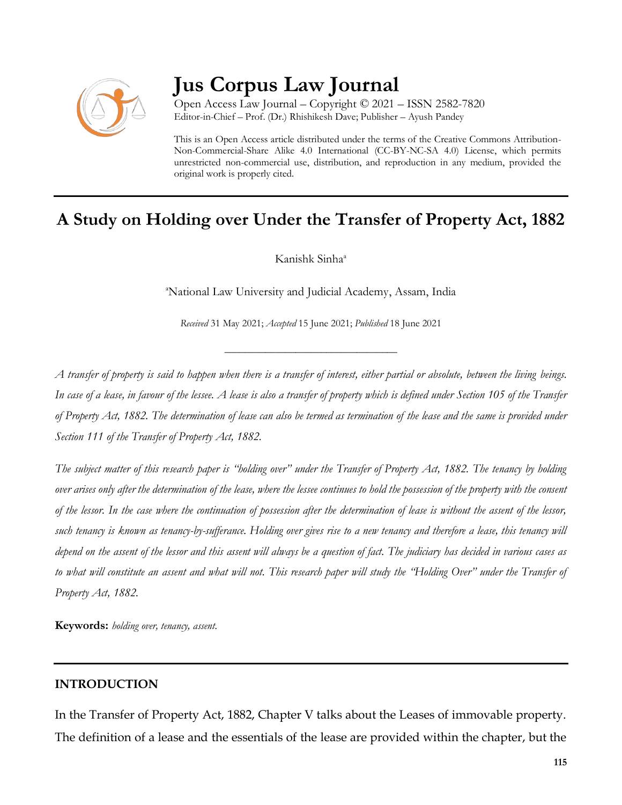

# **Jus Corpus Law Journal**

Open Access Law Journal – Copyright © 2021 – ISSN 2582-7820 Editor-in-Chief – Prof. (Dr.) Rhishikesh Dave; Publisher – Ayush Pandey

This is an Open Access article distributed under the terms of the Creative Commons Attribution-Non-Commercial-Share Alike 4.0 International (CC-BY-NC-SA 4.0) License, which permits unrestricted non-commercial use, distribution, and reproduction in any medium, provided the original work is properly cited.

# **A Study on Holding over Under the Transfer of Property Act, 1882**

Kanishk Sinha<sup>a</sup>

<sup>a</sup>National Law University and Judicial Academy, Assam, India

*Received* 31 May 2021; *Accepted* 15 June 2021; *Published* 18 June 2021

\_\_\_\_\_\_\_\_\_\_\_\_\_\_\_\_\_\_\_\_\_\_\_\_\_\_\_\_\_\_\_\_\_\_

*A transfer of property is said to happen when there is a transfer of interest, either partial or absolute, between the living beings. In case of a lease, in favour of the lessee. A lease is also a transfer of property which is defined under Section 105 of the Transfer of Property Act, 1882. The determination of lease can also be termed as termination of the lease and the same is provided under Section 111 of the Transfer of Property Act, 1882.*

*The subject matter of this research paper is "holding over" under the Transfer of Property Act, 1882. The tenancy by holding over arises only after the determination of the lease, where the lessee continues to hold the possession of the property with the consent of the lessor. In the case where the continuation of possession after the determination of lease is without the assent of the lessor, such tenancy is known as tenancy-by-sufferance. Holding over gives rise to a new tenancy and therefore a lease, this tenancy will depend on the assent of the lessor and this assent will always be a question of fact. The judiciary has decided in various cases as to what will constitute an assent and what will not. This research paper will study the "Holding Over" under the Transfer of Property Act, 1882.*

**Keywords:** *holding over, tenancy, assent.*

### **INTRODUCTION**

In the Transfer of Property Act, 1882, Chapter V talks about the Leases of immovable property. The definition of a lease and the essentials of the lease are provided within the chapter, but the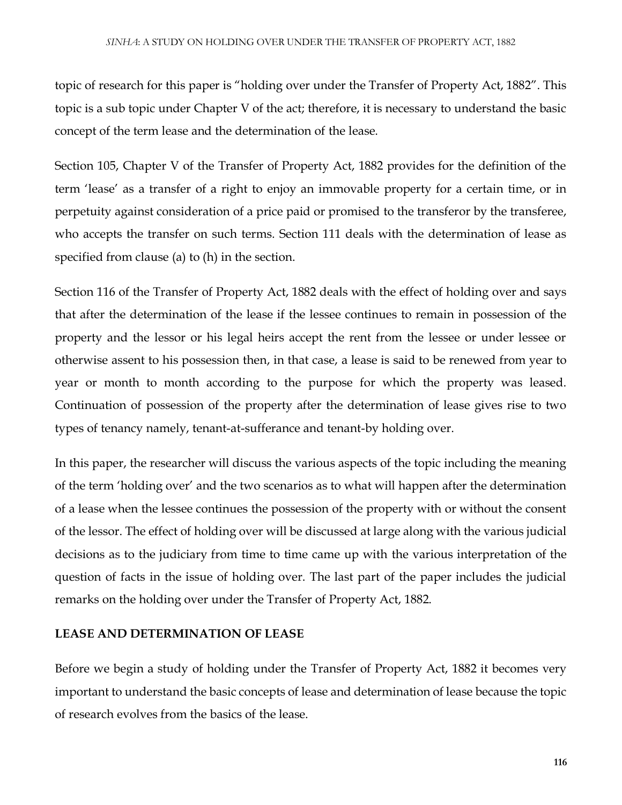topic of research for this paper is "holding over under the Transfer of Property Act, 1882". This topic is a sub topic under Chapter V of the act; therefore, it is necessary to understand the basic concept of the term lease and the determination of the lease.

Section 105, Chapter V of the Transfer of Property Act, 1882 provides for the definition of the term 'lease' as a transfer of a right to enjoy an immovable property for a certain time, or in perpetuity against consideration of a price paid or promised to the transferor by the transferee, who accepts the transfer on such terms. Section 111 deals with the determination of lease as specified from clause (a) to (h) in the section.

Section 116 of the Transfer of Property Act, 1882 deals with the effect of holding over and says that after the determination of the lease if the lessee continues to remain in possession of the property and the lessor or his legal heirs accept the rent from the lessee or under lessee or otherwise assent to his possession then, in that case, a lease is said to be renewed from year to year or month to month according to the purpose for which the property was leased. Continuation of possession of the property after the determination of lease gives rise to two types of tenancy namely, tenant-at-sufferance and tenant-by holding over.

In this paper, the researcher will discuss the various aspects of the topic including the meaning of the term 'holding over' and the two scenarios as to what will happen after the determination of a lease when the lessee continues the possession of the property with or without the consent of the lessor. The effect of holding over will be discussed at large along with the various judicial decisions as to the judiciary from time to time came up with the various interpretation of the question of facts in the issue of holding over. The last part of the paper includes the judicial remarks on the holding over under the Transfer of Property Act, 1882.

#### **LEASE AND DETERMINATION OF LEASE**

Before we begin a study of holding under the Transfer of Property Act, 1882 it becomes very important to understand the basic concepts of lease and determination of lease because the topic of research evolves from the basics of the lease.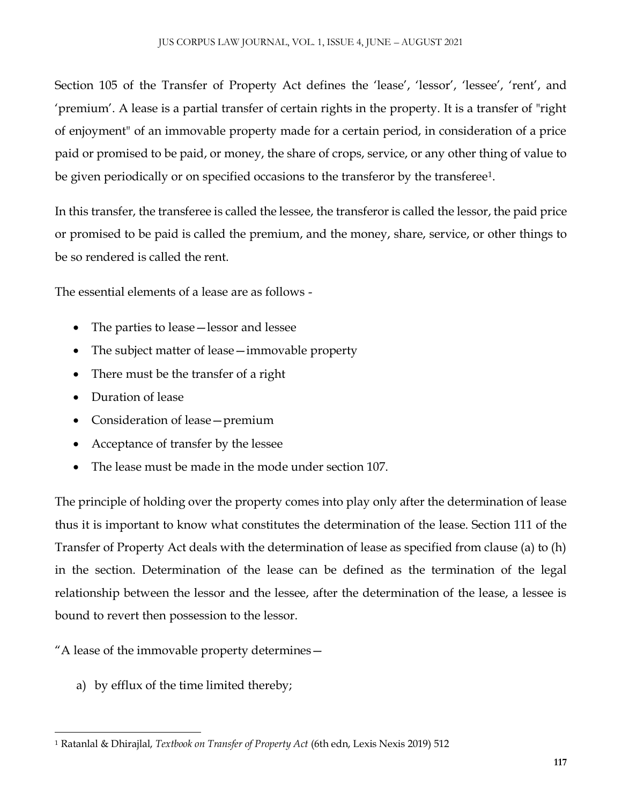Section 105 of the Transfer of Property Act defines the 'lease', 'lessor', 'lessee', 'rent', and 'premium'. A lease is a partial transfer of certain rights in the property. It is a transfer of "right of enjoyment" of an immovable property made for a certain period, in consideration of a price paid or promised to be paid, or money, the share of crops, service, or any other thing of value to be given periodically or on specified occasions to the transferor by the transferee<sup>1</sup>.

In this transfer, the transferee is called the lessee, the transferor is called the lessor, the paid price or promised to be paid is called the premium, and the money, share, service, or other things to be so rendered is called the rent.

The essential elements of a lease are as follows -

- The parties to lease lessor and lessee
- The subject matter of lease—immovable property
- There must be the transfer of a right
- Duration of lease
- Consideration of lease—premium
- Acceptance of transfer by the lessee
- The lease must be made in the mode under section 107.

The principle of holding over the property comes into play only after the determination of lease thus it is important to know what constitutes the determination of the lease. Section 111 of the Transfer of Property Act deals with the determination of lease as specified from clause (a) to (h) in the section. Determination of the lease can be defined as the termination of the legal relationship between the lessor and the lessee, after the determination of the lease, a lessee is bound to revert then possession to the lessor.

"A lease of the immovable property determines—

a) by efflux of the time limited thereby;

 $\overline{\phantom{a}}$ <sup>1</sup> Ratanlal & Dhirajlal, *Textbook on Transfer of Property Act* (6th edn, Lexis Nexis 2019) 512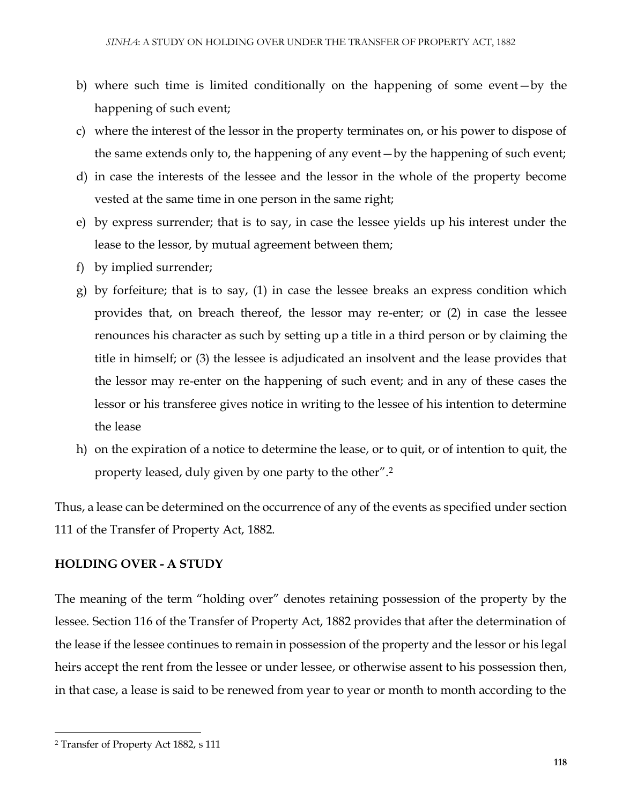- b) where such time is limited conditionally on the happening of some event—by the happening of such event;
- c) where the interest of the lessor in the property terminates on, or his power to dispose of the same extends only to, the happening of any event—by the happening of such event;
- d) in case the interests of the lessee and the lessor in the whole of the property become vested at the same time in one person in the same right;
- e) by express surrender; that is to say, in case the lessee yields up his interest under the lease to the lessor, by mutual agreement between them;
- f) by implied surrender;
- g) by forfeiture; that is to say, (1) in case the lessee breaks an express condition which provides that, on breach thereof, the lessor may re-enter; or (2) in case the lessee renounces his character as such by setting up a title in a third person or by claiming the title in himself; or (3) the lessee is adjudicated an insolvent and the lease provides that the lessor may re-enter on the happening of such event; and in any of these cases the lessor or his transferee gives notice in writing to the lessee of his intention to determine the lease
- h) on the expiration of a notice to determine the lease, or to quit, or of intention to quit, the property leased, duly given by one party to the other".<sup>2</sup>

Thus, a lease can be determined on the occurrence of any of the events as specified under section 111 of the Transfer of Property Act, 1882.

### **HOLDING OVER - A STUDY**

The meaning of the term "holding over" denotes retaining possession of the property by the lessee. Section 116 of the Transfer of Property Act, 1882 provides that after the determination of the lease if the lessee continues to remain in possession of the property and the lessor or his legal heirs accept the rent from the lessee or under lessee, or otherwise assent to his possession then, in that case, a lease is said to be renewed from year to year or month to month according to the

<sup>2</sup> Transfer of Property Act 1882, s 111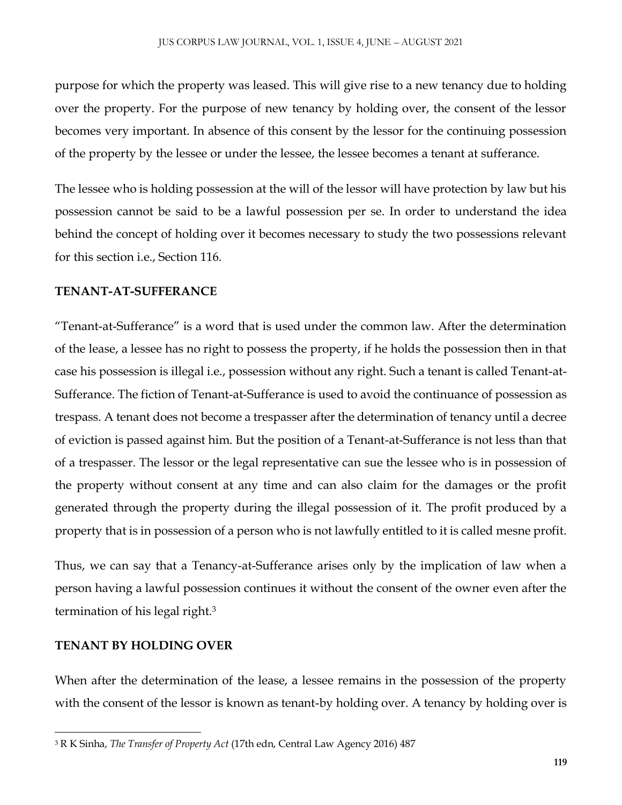purpose for which the property was leased. This will give rise to a new tenancy due to holding over the property. For the purpose of new tenancy by holding over, the consent of the lessor becomes very important. In absence of this consent by the lessor for the continuing possession of the property by the lessee or under the lessee, the lessee becomes a tenant at sufferance.

The lessee who is holding possession at the will of the lessor will have protection by law but his possession cannot be said to be a lawful possession per se. In order to understand the idea behind the concept of holding over it becomes necessary to study the two possessions relevant for this section i.e., Section 116.

### **TENANT-AT-SUFFERANCE**

"Tenant-at-Sufferance" is a word that is used under the common law. After the determination of the lease, a lessee has no right to possess the property, if he holds the possession then in that case his possession is illegal i.e., possession without any right. Such a tenant is called Tenant-at-Sufferance. The fiction of Tenant-at-Sufferance is used to avoid the continuance of possession as trespass. A tenant does not become a trespasser after the determination of tenancy until a decree of eviction is passed against him. But the position of a Tenant-at-Sufferance is not less than that of a trespasser. The lessor or the legal representative can sue the lessee who is in possession of the property without consent at any time and can also claim for the damages or the profit generated through the property during the illegal possession of it. The profit produced by a property that is in possession of a person who is not lawfully entitled to it is called mesne profit.

Thus, we can say that a Tenancy-at-Sufferance arises only by the implication of law when a person having a lawful possession continues it without the consent of the owner even after the termination of his legal right.<sup>3</sup>

### **TENANT BY HOLDING OVER**

 $\overline{\phantom{a}}$ 

When after the determination of the lease, a lessee remains in the possession of the property with the consent of the lessor is known as tenant-by holding over. A tenancy by holding over is

<sup>3</sup> R K Sinha, *The Transfer of Property Act* (17th edn, Central Law Agency 2016) 487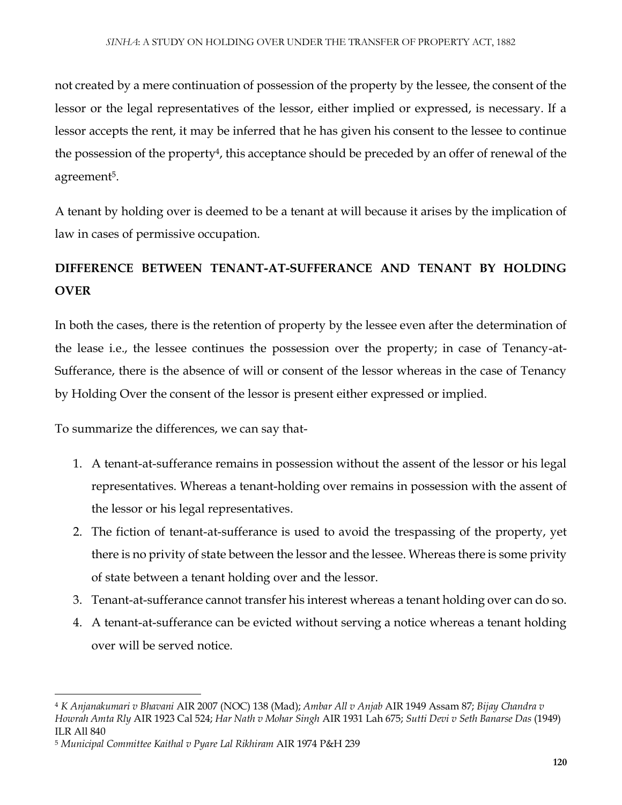not created by a mere continuation of possession of the property by the lessee, the consent of the lessor or the legal representatives of the lessor, either implied or expressed, is necessary. If a lessor accepts the rent, it may be inferred that he has given his consent to the lessee to continue the possession of the property<sup>4</sup>, this acceptance should be preceded by an offer of renewal of the agreement<sup>5</sup>.

A tenant by holding over is deemed to be a tenant at will because it arises by the implication of law in cases of permissive occupation.

## **DIFFERENCE BETWEEN TENANT-AT-SUFFERANCE AND TENANT BY HOLDING OVER**

In both the cases, there is the retention of property by the lessee even after the determination of the lease i.e., the lessee continues the possession over the property; in case of Tenancy-at-Sufferance, there is the absence of will or consent of the lessor whereas in the case of Tenancy by Holding Over the consent of the lessor is present either expressed or implied.

To summarize the differences, we can say that-

- 1. A tenant-at-sufferance remains in possession without the assent of the lessor or his legal representatives. Whereas a tenant-holding over remains in possession with the assent of the lessor or his legal representatives.
- 2. The fiction of tenant-at-sufferance is used to avoid the trespassing of the property, yet there is no privity of state between the lessor and the lessee. Whereas there is some privity of state between a tenant holding over and the lessor.
- 3. Tenant-at-sufferance cannot transfer his interest whereas a tenant holding over can do so.
- 4. A tenant-at-sufferance can be evicted without serving a notice whereas a tenant holding over will be served notice.

<sup>4</sup> *K Anjanakumari v Bhavani* AIR 2007 (NOC) 138 (Mad); *Ambar All v Anjab* AIR 1949 Assam 87; *Bijay Chandra v Howrah Amta Rly* AIR 1923 Cal 524; *Har Nath v Mohar Singh* AIR 1931 Lah 675; *Sutti Devi v Seth Banarse Das* (1949) ILR All 840

<sup>5</sup> *Municipal Committee Kaithal v Pyare Lal Rikhiram* AIR 1974 P&H 239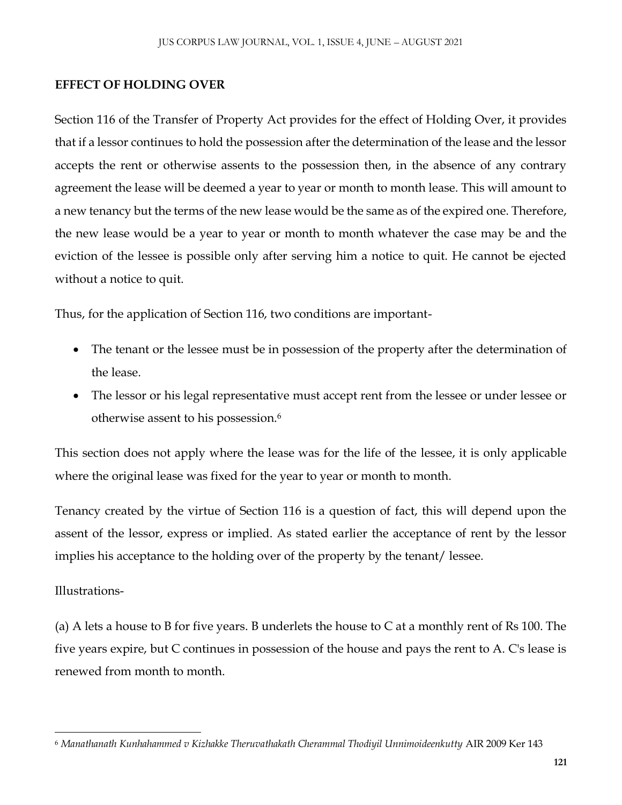### **EFFECT OF HOLDING OVER**

Section 116 of the Transfer of Property Act provides for the effect of Holding Over, it provides that if a lessor continues to hold the possession after the determination of the lease and the lessor accepts the rent or otherwise assents to the possession then, in the absence of any contrary agreement the lease will be deemed a year to year or month to month lease. This will amount to a new tenancy but the terms of the new lease would be the same as of the expired one. Therefore, the new lease would be a year to year or month to month whatever the case may be and the eviction of the lessee is possible only after serving him a notice to quit. He cannot be ejected without a notice to quit.

Thus, for the application of Section 116, two conditions are important-

- The tenant or the lessee must be in possession of the property after the determination of the lease.
- The lessor or his legal representative must accept rent from the lessee or under lessee or otherwise assent to his possession.<sup>6</sup>

This section does not apply where the lease was for the life of the lessee, it is only applicable where the original lease was fixed for the year to year or month to month.

Tenancy created by the virtue of Section 116 is a question of fact, this will depend upon the assent of the lessor, express or implied. As stated earlier the acceptance of rent by the lessor implies his acceptance to the holding over of the property by the tenant/lessee.

### Illustrations-

(a) A lets a house to B for five years. B underlets the house to C at a monthly rent of Rs 100. The five years expire, but C continues in possession of the house and pays the rent to A. C's lease is renewed from month to month.

 $\overline{\phantom{a}}$ <sup>6</sup> *Manathanath Kunhahammed v Kizhakke Theruvathakath Cherammal Thodiyil Unnimoideenkutty* AIR 2009 Ker 143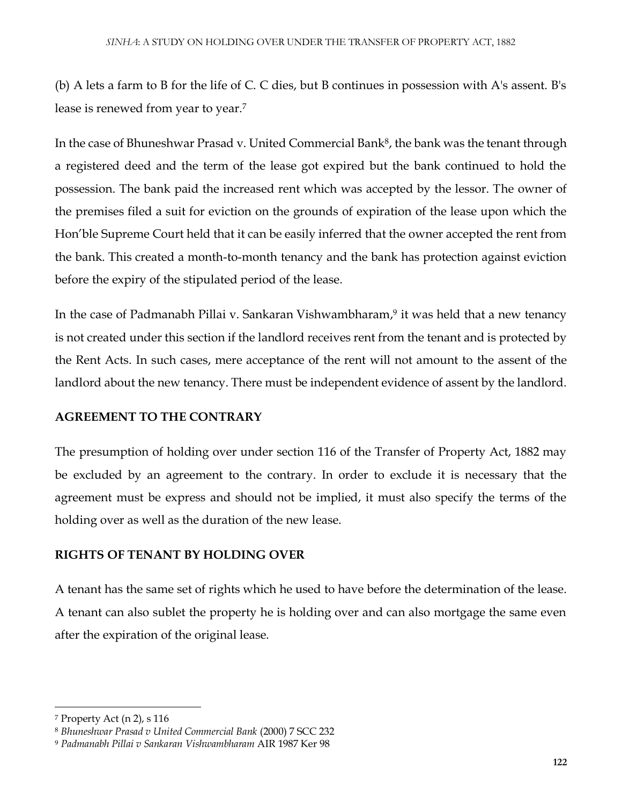(b) A lets a farm to B for the life of C. C dies, but B continues in possession with A's assent. B's lease is renewed from year to year.<sup>7</sup>

In the case of Bhuneshwar Prasad v. United Commercial Bank<sup>8</sup>, the bank was the tenant through a registered deed and the term of the lease got expired but the bank continued to hold the possession. The bank paid the increased rent which was accepted by the lessor. The owner of the premises filed a suit for eviction on the grounds of expiration of the lease upon which the Hon'ble Supreme Court held that it can be easily inferred that the owner accepted the rent from the bank. This created a month-to-month tenancy and the bank has protection against eviction before the expiry of the stipulated period of the lease.

In the case of Padmanabh Pillai v. Sankaran Vishwambharam, 9 it was held that a new tenancy is not created under this section if the landlord receives rent from the tenant and is protected by the Rent Acts. In such cases, mere acceptance of the rent will not amount to the assent of the landlord about the new tenancy. There must be independent evidence of assent by the landlord.

### **AGREEMENT TO THE CONTRARY**

The presumption of holding over under section 116 of the Transfer of Property Act, 1882 may be excluded by an agreement to the contrary. In order to exclude it is necessary that the agreement must be express and should not be implied, it must also specify the terms of the holding over as well as the duration of the new lease.

### **RIGHTS OF TENANT BY HOLDING OVER**

A tenant has the same set of rights which he used to have before the determination of the lease. A tenant can also sublet the property he is holding over and can also mortgage the same even after the expiration of the original lease.

<sup>7</sup> Property Act (n 2), s 116

<sup>8</sup> *Bhuneshwar Prasad v United Commercial Bank* (2000) 7 SCC 232

<sup>9</sup> *Padmanabh Pillai v Sankaran Vishwambharam* AIR 1987 Ker 98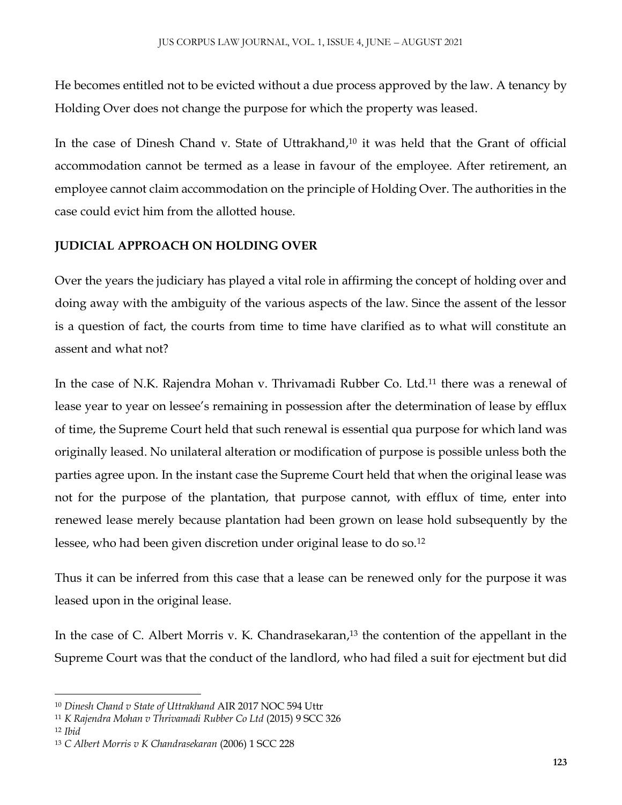He becomes entitled not to be evicted without a due process approved by the law. A tenancy by Holding Over does not change the purpose for which the property was leased.

In the case of Dinesh Chand v. State of Uttrakhand, <sup>10</sup> it was held that the Grant of official accommodation cannot be termed as a lease in favour of the employee. After retirement, an employee cannot claim accommodation on the principle of Holding Over. The authorities in the case could evict him from the allotted house.

### **JUDICIAL APPROACH ON HOLDING OVER**

Over the years the judiciary has played a vital role in affirming the concept of holding over and doing away with the ambiguity of the various aspects of the law. Since the assent of the lessor is a question of fact, the courts from time to time have clarified as to what will constitute an assent and what not?

In the case of N.K. Rajendra Mohan v. Thrivamadi Rubber Co. Ltd.<sup>11</sup> there was a renewal of lease year to year on lessee's remaining in possession after the determination of lease by efflux of time, the Supreme Court held that such renewal is essential qua purpose for which land was originally leased. No unilateral alteration or modification of purpose is possible unless both the parties agree upon. In the instant case the Supreme Court held that when the original lease was not for the purpose of the plantation, that purpose cannot, with efflux of time, enter into renewed lease merely because plantation had been grown on lease hold subsequently by the lessee, who had been given discretion under original lease to do so.<sup>12</sup>

Thus it can be inferred from this case that a lease can be renewed only for the purpose it was leased upon in the original lease.

In the case of C. Albert Morris v. K. Chandrasekaran, <sup>13</sup> the contention of the appellant in the Supreme Court was that the conduct of the landlord, who had filed a suit for ejectment but did

<sup>10</sup> *Dinesh Chand v State of Uttrakhand* AIR 2017 NOC 594 Uttr

<sup>11</sup> *K Rajendra Mohan v Thrivamadi Rubber Co Ltd* (2015) 9 SCC 326

<sup>12</sup> *Ibid*

<sup>13</sup> *C Albert Morris v K Chandrasekaran* (2006) 1 SCC 228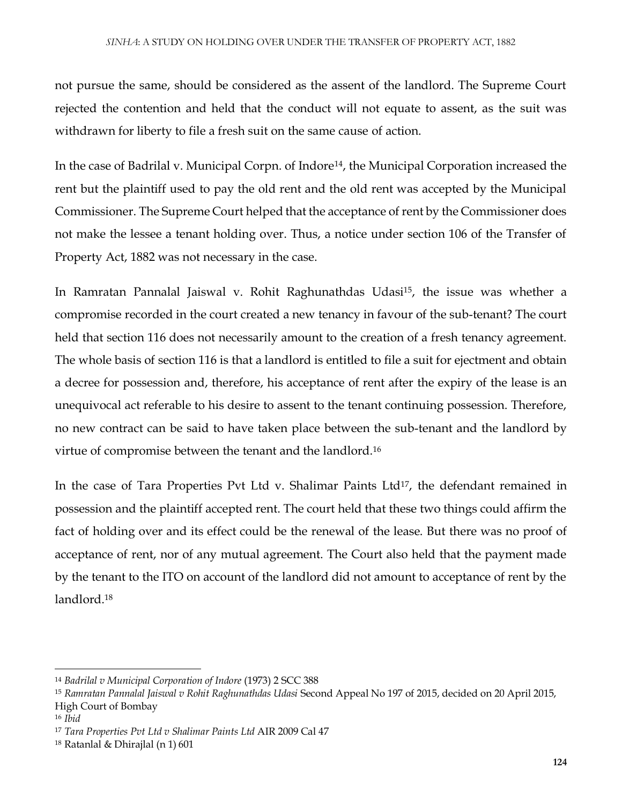not pursue the same, should be considered as the assent of the landlord. The Supreme Court rejected the contention and held that the conduct will not equate to assent, as the suit was withdrawn for liberty to file a fresh suit on the same cause of action.

In the case of Badrilal v. Municipal Corpn. of Indore<sup>14</sup>, the Municipal Corporation increased the rent but the plaintiff used to pay the old rent and the old rent was accepted by the Municipal Commissioner. The Supreme Court helped that the acceptance of rent by the Commissioner does not make the lessee a tenant holding over. Thus, a notice under section 106 of the Transfer of Property Act, 1882 was not necessary in the case.

In Ramratan Pannalal Jaiswal v. Rohit Raghunathdas Udasi<sup>15</sup>, the issue was whether a compromise recorded in the court created a new tenancy in favour of the sub-tenant? The court held that section 116 does not necessarily amount to the creation of a fresh tenancy agreement. The whole basis of section 116 is that a landlord is entitled to file a suit for ejectment and obtain a decree for possession and, therefore, his acceptance of rent after the expiry of the lease is an unequivocal act referable to his desire to assent to the tenant continuing possession. Therefore, no new contract can be said to have taken place between the sub-tenant and the landlord by virtue of compromise between the tenant and the landlord.<sup>16</sup>

In the case of Tara Properties Pvt Ltd v. Shalimar Paints Ltd<sup>17</sup>, the defendant remained in possession and the plaintiff accepted rent. The court held that these two things could affirm the fact of holding over and its effect could be the renewal of the lease. But there was no proof of acceptance of rent, nor of any mutual agreement. The Court also held that the payment made by the tenant to the ITO on account of the landlord did not amount to acceptance of rent by the landlord.<sup>18</sup>

 $\overline{a}$ 

<sup>14</sup> *Badrilal v Municipal Corporation of Indore* (1973) 2 SCC 388

<sup>15</sup> *Ramratan Pannalal Jaiswal v Rohit Raghunathdas Udasi* Second Appeal No 197 of 2015, decided on 20 April 2015, High Court of Bombay

<sup>16</sup> *Ibid*

<sup>17</sup> *Tara Properties Pvt Ltd v Shalimar Paints Ltd* AIR 2009 Cal 47

<sup>18</sup> Ratanlal & Dhirajlal (n 1) 601